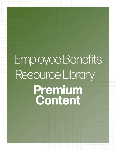# Employee Benefits Resource Library -Premium Content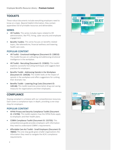# **TOOLKITS**

These robust documents include everything employers need to know on a topic. Beyond helpful information, they contain appendixes full of printable resources and deliverables.

### **SERIES**

- HR Toolkits: This series includes topics related to HR administration, like PTO, hiring, cyber security and employee engagement.
- Benefits Toolkits: This series focuses on benefits-related topics, like telemedicine, financial wellness and lowering health care costs.

## **POPULAR CONTENT**

- HR Toolkit Emotional Intelligence (Document ID: 228010): This toolkit focuses on cultivating and addressing emotional intelligence in the workplace.
- HR Toolkit Recruiting (Document ID: 155835): This toolkit explores successful recruiting techniques and suggests best practices for employers.
- Benefits Toolkit Addressing Opioids in the Workplace (Document ID: 164028): This toolkit looks at the impact of opioids in the workplace and offers suggestions for curbing their dramatic rise.
- Benefits Toolkit Lowering Drug Costs (Document ID: 149148): This toolkit examines prescription drug cost saving measures for organizations and their employees.

## **COMPLIANCE**

Staying compliant is a breeze with our comprehensive resources. Each covers a compliance topic in-depth, providing a one-stopshop for employers.

#### **POPULAR CONTENT**

- HIPAA Privacy and Security Compliance Toolkit (Document ID: 174799): This toolkit explains how the HIPAA Rules apply to employers and their health plans.
- COBRA Compliance Toolkit (Document ID: 155703): This comprehensive guide provides employers with information they need to understand COBRA's requirements.
- Affordable Care Act Toolkit Small Employers (Document ID: 78840): This one-stop guide gives smaller organizations the information they need to navigate the ACA's compliance requirements.